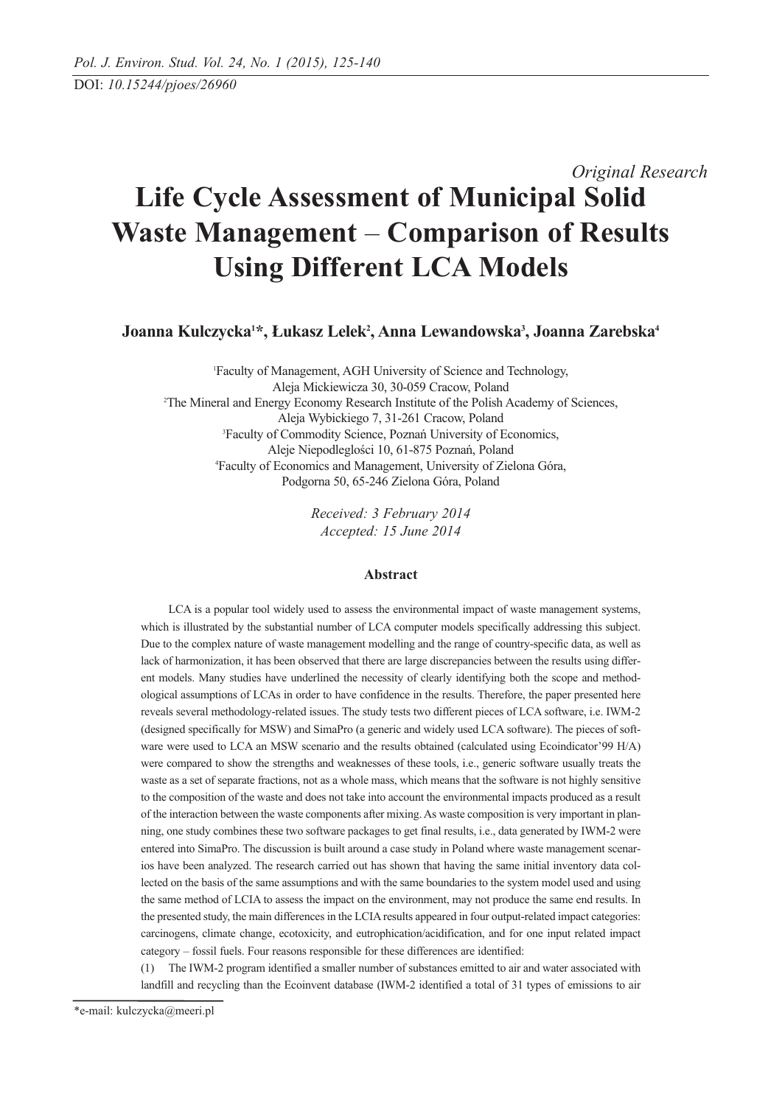# *Original Research* **Life Cycle Assessment of Municipal Solid Waste Management** – **Comparison of Results Using Different LCA Models**

Joanna Kulczycka<sup>1</sup>\*, Łukasz Lelek<sup>2</sup>, Anna Lewandowska<sup>3</sup>, Joanna Zarebska<sup>4</sup>

1 Faculty of Management, AGH University of Science and Technology, Aleja Mickiewicza 30, 30-059 Cracow, Poland 2 The Mineral and Energy Economy Research Institute of the Polish Academy of Sciences, Aleja Wybickiego 7, 31-261 Cracow, Poland 3 Faculty of Commodity Science, Poznań University of Economics, Aleje Niepodleglości 10, 61-875 Poznań, Poland 4 Faculty of Economics and Management, University of Zielona Góra, Podgorna 50, 65-246 Zielona Góra, Poland

> *Received: 3 February 2014 Accepted: 15 June 2014*

## **Abstract**

LCA is a popular tool widely used to assess the environmental impact of waste management systems, which is illustrated by the substantial number of LCA computer models specifically addressing this subject. Due to the complex nature of waste management modelling and the range of country-specific data, as well as lack of harmonization, it has been observed that there are large discrepancies between the results using different models. Many studies have underlined the necessity of clearly identifying both the scope and methodological assumptions of LCAs in order to have confidence in the results. Therefore, the paper presented here reveals several methodology-related issues. The study tests two different pieces of LCA software, i.e. IWM-2 (designed specifically for MSW) and SimaPro (a generic and widely used LCA software). The pieces of software were used to LCA an MSW scenario and the results obtained (calculated using Ecoindicator'99 H/A) were compared to show the strengths and weaknesses of these tools, i.e., generic software usually treats the waste as a set of separate fractions, not as a whole mass, which means that the software is not highly sensitive to the composition of the waste and does not take into account the environmental impacts produced as a result of the interaction between the waste components after mixing. As waste composition is very important in planning, one study combines these two software packages to get final results, i.e., data generated by IWM-2 were entered into SimaPro. The discussion is built around a case study in Poland where waste management scenarios have been analyzed. The research carried out has shown that having the same initial inventory data collected on the basis of the same assumptions and with the same boundaries to the system model used and using the same method of LCIA to assess the impact on the environment, may not produce the same end results. In the presented study, the main differences in the LCIA results appeared in four output-related impact categories: carcinogens, climate change, ecotoxicity, and eutrophication/acidification, and for one input related impact category – fossil fuels. Four reasons responsible for these differences are identified:

(1) The IWM-2 program identified a smaller number of substances emitted to air and water associated with landfill and recycling than the Ecoinvent database (IWM-2 identified a total of 31 types of emissions to air

<sup>\*</sup>e-mail: kulczycka@meeri.pl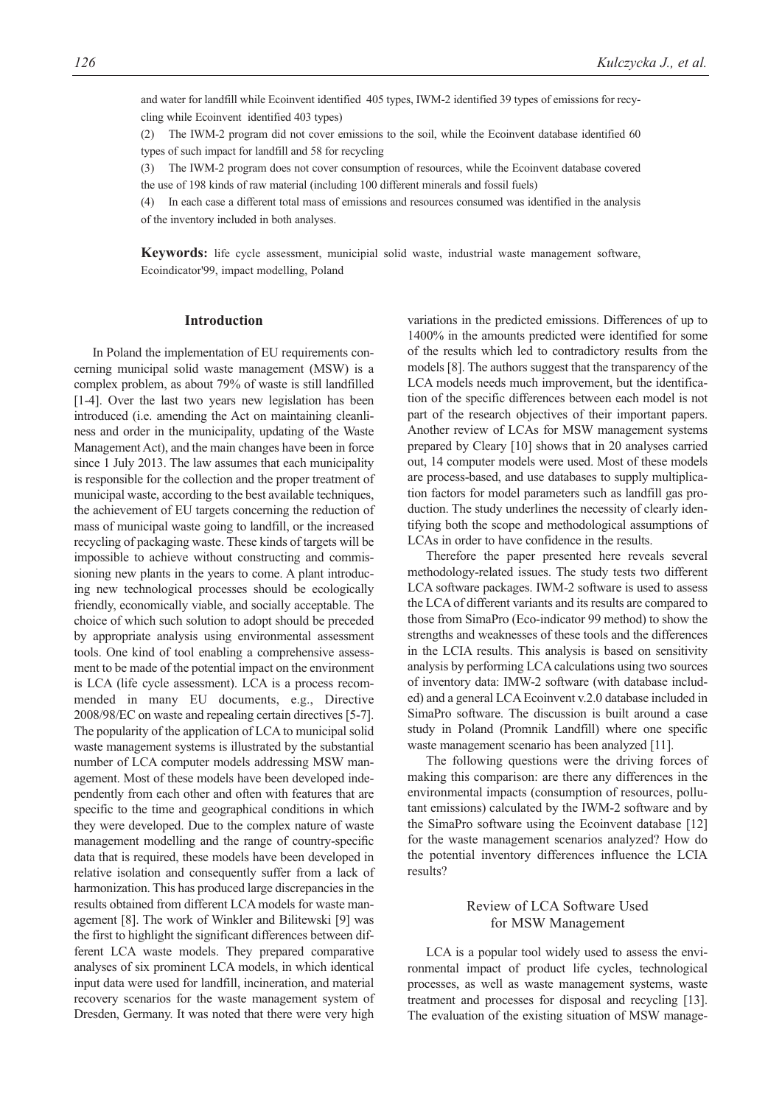and water for landfill while Ecoinvent identified 405 types, IWM-2 identified 39 types of emissions for recycling while Ecoinvent identified 403 types)

(2) The IWM-2 program did not cover emissions to the soil, while the Ecoinvent database identified 60 types of such impact for landfill and 58 for recycling

(3) The IWM-2 program does not cover consumption of resources, while the Ecoinvent database covered the use of 198 kinds of raw material (including 100 different minerals and fossil fuels)

(4) In each case a different total mass of emissions and resources consumed was identified in the analysis of the inventory included in both analyses.

**Keywords:** life cycle assessment, municipial solid waste, industrial waste management software, Ecoindicator'99, impact modelling, Poland

#### **Introduction**

In Poland the implementation of EU requirements concerning municipal solid waste management (MSW) is a complex problem, as about 79% of waste is still landfilled [1-4]. Over the last two years new legislation has been introduced (i.e. amending the Act on maintaining cleanliness and order in the municipality, updating of the Waste Management Act), and the main changes have been in force since 1 July 2013. The law assumes that each municipality is responsible for the collection and the proper treatment of municipal waste, according to the best available techniques, the achievement of EU targets concerning the reduction of mass of municipal waste going to landfill, or the increased recycling of packaging waste. These kinds of targets will be impossible to achieve without constructing and commissioning new plants in the years to come. A plant introducing new technological processes should be ecologically friendly, economically viable, and socially acceptable. The choice of which such solution to adopt should be preceded by appropriate analysis using environmental assessment tools. One kind of tool enabling a comprehensive assessment to be made of the potential impact on the environment is LCA (life cycle assessment). LCA is a process recommended in many EU documents, e.g., Directive 2008/98/EC on waste and repealing certain directives [5-7]. The popularity of the application of LCA to municipal solid waste management systems is illustrated by the substantial number of LCA computer models addressing MSW management. Most of these models have been developed independently from each other and often with features that are specific to the time and geographical conditions in which they were developed. Due to the complex nature of waste management modelling and the range of country-specific data that is required, these models have been developed in relative isolation and consequently suffer from a lack of harmonization. This has produced large discrepancies in the results obtained from different LCA models for waste management [8]. The work of Winkler and Bilitewski [9] was the first to highlight the significant differences between different LCA waste models. They prepared comparative analyses of six prominent LCA models, in which identical input data were used for landfill, incineration, and material recovery scenarios for the waste management system of Dresden, Germany. It was noted that there were very high

variations in the predicted emissions. Differences of up to 1400% in the amounts predicted were identified for some of the results which led to contradictory results from the models [8]. The authors suggest that the transparency of the LCA models needs much improvement, but the identification of the specific differences between each model is not part of the research objectives of their important papers. Another review of LCAs for MSW management systems prepared by Cleary [10] shows that in 20 analyses carried out, 14 computer models were used. Most of these models are process-based, and use databases to supply multiplication factors for model parameters such as landfill gas production. The study underlines the necessity of clearly identifying both the scope and methodological assumptions of LCAs in order to have confidence in the results.

Therefore the paper presented here reveals several methodology-related issues. The study tests two different LCA software packages. IWM-2 software is used to assess the LCA of different variants and its results are compared to those from SimaPro (Eco-indicator 99 method) to show the strengths and weaknesses of these tools and the differences in the LCIA results. This analysis is based on sensitivity analysis by performing LCA calculations using two sources of inventory data: IMW-2 software (with database included) and a general LCA Ecoinvent v.2.0 database included in SimaPro software. The discussion is built around a case study in Poland (Promnik Landfill) where one specific waste management scenario has been analyzed [11].

The following questions were the driving forces of making this comparison: are there any differences in the environmental impacts (consumption of resources, pollutant emissions) calculated by the IWM-2 software and by the SimaPro software using the Ecoinvent database [12] for the waste management scenarios analyzed? How do the potential inventory differences influence the LCIA results?

# Review of LCA Software Used for MSW Management

LCA is a popular tool widely used to assess the environmental impact of product life cycles, technological processes, as well as waste management systems, waste treatment and processes for disposal and recycling [13]. The evaluation of the existing situation of MSW manage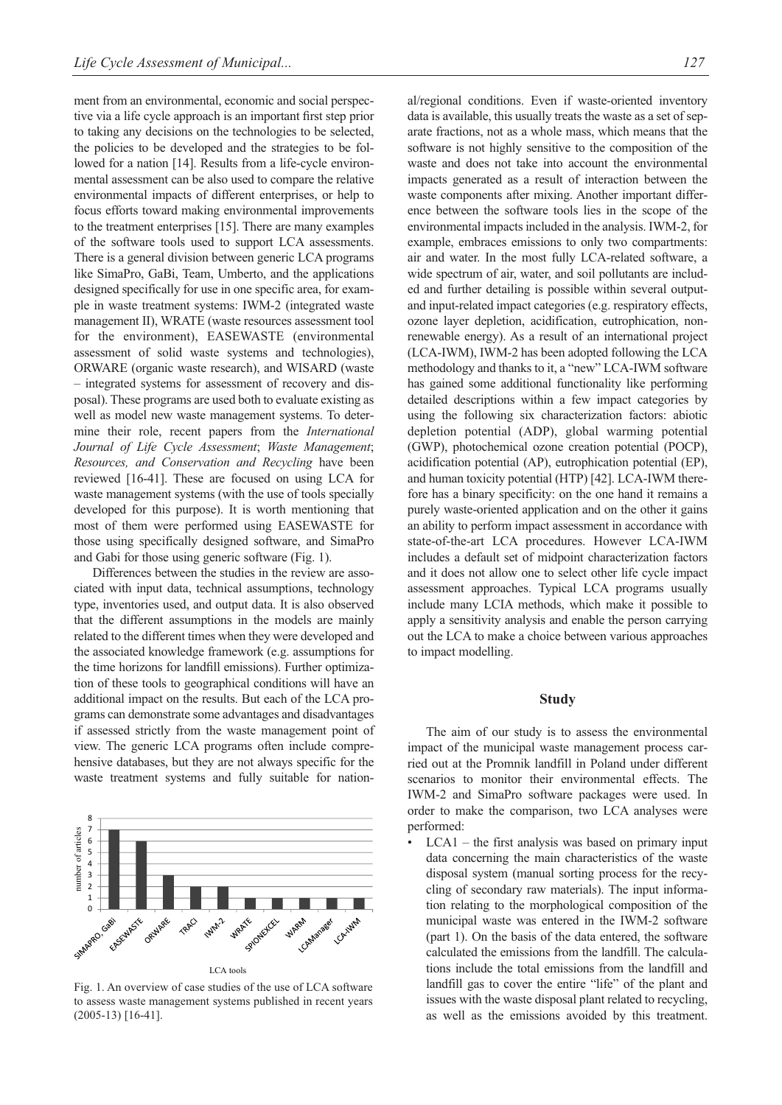ment from an environmental, economic and social perspective via a life cycle approach is an important first step prior to taking any decisions on the technologies to be selected, the policies to be developed and the strategies to be followed for a nation [14]. Results from a life-cycle environmental assessment can be also used to compare the relative environmental impacts of different enterprises, or help to focus efforts toward making environmental improvements to the treatment enterprises [15]. There are many examples of the software tools used to support LCA assessments. There is a general division between generic LCA programs like SimaPro, GaBi, Team, Umberto, and the applications designed specifically for use in one specific area, for example in waste treatment systems: IWM-2 (integrated waste management II), WRATE (waste resources assessment tool for the environment), EASEWASTE (environmental assessment of solid waste systems and technologies), ORWARE (organic waste research), and WISARD (waste – integrated systems for assessment of recovery and disposal). These programs are used both to evaluate existing as well as model new waste management systems. To determine their role, recent papers from the *International Journal of Life Cycle Assessment*; *Waste Management*; *Resources, and Conservation and Recycling* have been reviewed [16-41]. These are focused on using LCA for waste management systems (with the use of tools specially developed for this purpose). It is worth mentioning that most of them were performed using EASEWASTE for those using specifically designed software, and SimaPro and Gabi for those using generic software (Fig. 1).

Differences between the studies in the review are associated with input data, technical assumptions, technology type, inventories used, and output data. It is also observed that the different assumptions in the models are mainly related to the different times when they were developed and the associated knowledge framework (e.g. assumptions for the time horizons for landfill emissions). Further optimization of these tools to geographical conditions will have an additional impact on the results. But each of the LCA programs can demonstrate some advantages and disadvantages if assessed strictly from the waste management point of view. The generic LCA programs often include comprehensive databases, but they are not always specific for the waste treatment systems and fully suitable for nation-



Fig. 1. An overview of case studies of the use of LCA software to assess waste management systems published in recent years (2005-13) [16-41].

al/regional conditions. Even if waste-oriented inventory data is available, this usually treats the waste as a set of separate fractions, not as a whole mass, which means that the software is not highly sensitive to the composition of the waste and does not take into account the environmental impacts generated as a result of interaction between the waste components after mixing. Another important difference between the software tools lies in the scope of the environmental impacts included in the analysis. IWM-2, for example, embraces emissions to only two compartments: air and water. In the most fully LCA-related software, a wide spectrum of air, water, and soil pollutants are included and further detailing is possible within several outputand input-related impact categories (e.g. respiratory effects, ozone layer depletion, acidification, eutrophication, nonrenewable energy). As a result of an international project (LCA-IWM), IWM-2 has been adopted following the LCA methodology and thanks to it, a "new" LCA-IWM software has gained some additional functionality like performing detailed descriptions within a few impact categories by using the following six characterization factors: abiotic depletion potential (ADP), global warming potential (GWP), photochemical ozone creation potential (POCP), acidification potential (AP), eutrophication potential (EP), and human toxicity potential (HTP) [42]. LCA-IWM therefore has a binary specificity: on the one hand it remains a purely waste-oriented application and on the other it gains an ability to perform impact assessment in accordance with state-of-the-art LCA procedures. However LCA-IWM includes a default set of midpoint characterization factors and it does not allow one to select other life cycle impact assessment approaches. Typical LCA programs usually include many LCIA methods, which make it possible to apply a sensitivity analysis and enable the person carrying out the LCA to make a choice between various approaches to impact modelling.

## **Study**

The aim of our study is to assess the environmental impact of the municipal waste management process carried out at the Promnik landfill in Poland under different scenarios to monitor their environmental effects. The IWM-2 and SimaPro software packages were used. In order to make the comparison, two LCA analyses were performed:

 $LCA1$  – the first analysis was based on primary input data concerning the main characteristics of the waste disposal system (manual sorting process for the recycling of secondary raw materials). The input information relating to the morphological composition of the municipal waste was entered in the IWM-2 software (part 1). On the basis of the data entered, the software calculated the emissions from the landfill. The calculations include the total emissions from the landfill and landfill gas to cover the entire "life" of the plant and issues with the waste disposal plant related to recycling, as well as the emissions avoided by this treatment.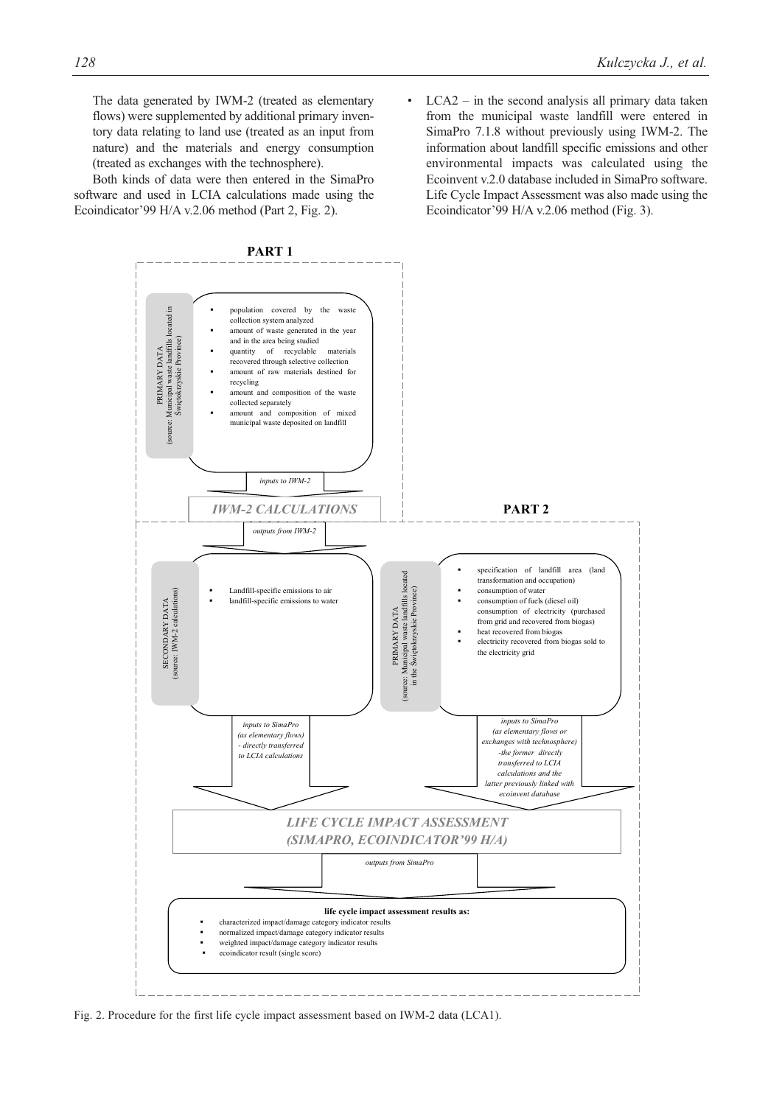The data generated by IWM-2 (treated as elementary flows) were supplemented by additional primary inventory data relating to land use (treated as an input from nature) and the materials and energy consumption (treated as exchanges with the technosphere).

Both kinds of data were then entered in the SimaPro software and used in LCIA calculations made using the Ecoindicator'99 H/A v.2.06 method (Part 2, Fig. 2).

 $LCA2 - in$  the second analysis all primary data taken from the municipal waste landfill were entered in SimaPro 7.1.8 without previously using IWM-2. The information about landfill specific emissions and other environmental impacts was calculated using the Ecoinvent v.2.0 database included in SimaPro software. Life Cycle Impact Assessment was also made using the Ecoindicator'99 H/A v.2.06 method (Fig. 3).



Fig. 2. Procedure for the first life cycle impact assessment based on IWM-2 data (LCA1).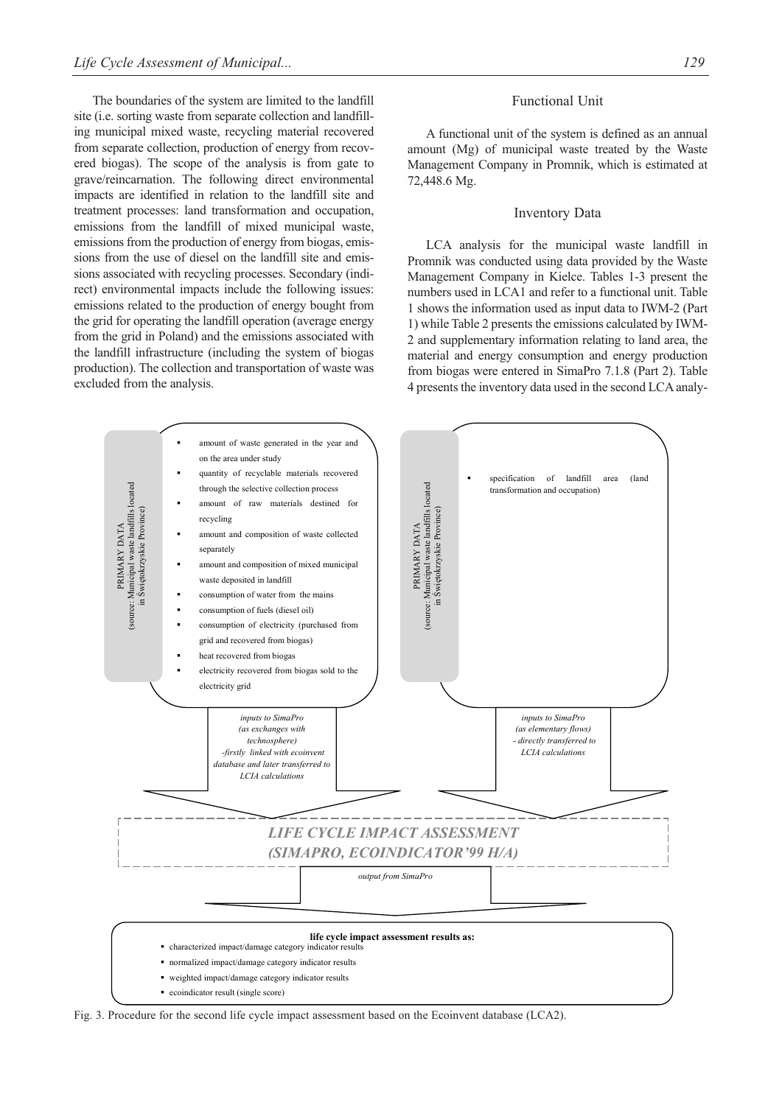The boundaries of the system are limited to the landfill site (i.e. sorting waste from separate collection and landfilling municipal mixed waste, recycling material recovered from separate collection, production of energy from recovered biogas). The scope of the analysis is from gate to grave/reincarnation. The following direct environmental impacts are identified in relation to the landfill site and treatment processes: land transformation and occupation, emissions from the landfill of mixed municipal waste, emissions from the production of energy from biogas, emissions from the use of diesel on the landfill site and emissions associated with recycling processes. Secondary (indirect) environmental impacts include the following issues: emissions related to the production of energy bought from the grid for operating the landfill operation (average energy from the grid in Poland) and the emissions associated with the landfill infrastructure (including the system of biogas production). The collection and transportation of waste was excluded from the analysis.

#### Functional Unit

A functional unit of the system is defined as an annual amount (Mg) of municipal waste treated by the Waste Management Company in Promnik, which is estimated at 72,448.6 Mg.

#### Inventory Data

LCA analysis for the municipal waste landfill in Promnik was conducted using data provided by the Waste Management Company in Kielce. Tables 1-3 present the numbers used in LCA1 and refer to a functional unit. Table 1 shows the information used as input data to IWM-2 (Part 1) while Table 2 presents the emissions calculated by IWM-2 and supplementary information relating to land area, the material and energy consumption and energy production from biogas were entered in SimaPro 7.1.8 (Part 2). Table 4 presents the inventory data used in the second LCA analy-



Fig. 3. Procedure for the second life cycle impact assessment based on the Ecoinvent database (LCA2).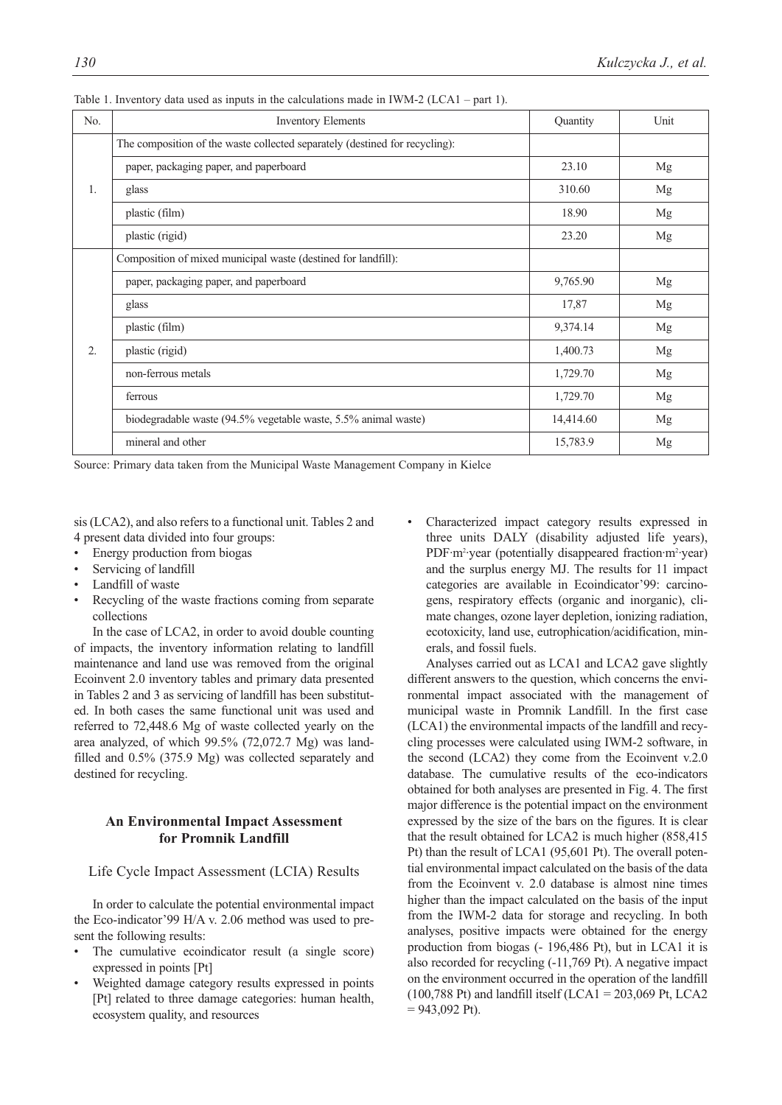| N <sub>o</sub> | <b>Inventory Elements</b>                                                   | Quantity  | Unit |
|----------------|-----------------------------------------------------------------------------|-----------|------|
|                | The composition of the waste collected separately (destined for recycling): |           |      |
|                | paper, packaging paper, and paperboard                                      | 23.10     | Mg   |
| 1.             | glass                                                                       | 310.60    | Mg   |
|                | plastic (film)                                                              | 18.90     | Mg   |
|                | plastic (rigid)                                                             | 23.20     | Mg   |
|                | Composition of mixed municipal waste (destined for landfill):               |           |      |
|                | paper, packaging paper, and paperboard                                      | 9,765.90  | Mg   |
|                | glass                                                                       | 17,87     | Mg   |
|                | plastic (film)                                                              | 9,374.14  | Mg   |
| 2.             | plastic (rigid)                                                             | 1,400.73  | Mg   |
|                | non-ferrous metals                                                          | 1,729.70  | Mg   |
|                | ferrous                                                                     | 1,729.70  | Mg   |
|                | biodegradable waste (94.5% vegetable waste, 5.5% animal waste)              | 14,414.60 | Mg   |
|                | mineral and other                                                           | 15,783.9  | Mg   |

Table 1. Inventory data used as inputs in the calculations made in IWM-2 (LCA1 – part 1).

Source: Primary data taken from the Municipal Waste Management Company in Kielce

sis (LCA2), and also refers to a functional unit. Tables 2 and 4 present data divided into four groups:

- Energy production from biogas
- Servicing of landfill
- Landfill of waste
- Recycling of the waste fractions coming from separate collections

In the case of LCA2, in order to avoid double counting of impacts, the inventory information relating to landfill maintenance and land use was removed from the original Ecoinvent 2.0 inventory tables and primary data presented in Tables 2 and 3 as servicing of landfill has been substituted. In both cases the same functional unit was used and referred to 72,448.6 Mg of waste collected yearly on the area analyzed, of which 99.5% (72,072.7 Mg) was landfilled and 0.5% (375.9 Mg) was collected separately and destined for recycling.

# **An Environmental Impact Assessment for Promnik Landfill**

Life Cycle Impact Assessment (LCIA) Results

In order to calculate the potential environmental impact the Eco-indicator'99 H/A v. 2.06 method was used to present the following results:

- The cumulative ecoindicator result (a single score) expressed in points [Pt]
- Weighted damage category results expressed in points [Pt] related to three damage categories: human health, ecosystem quality, and resources

• Characterized impact category results expressed in three units DALY (disability adjusted life years), PDF·m<sup>2</sup>·year (potentially disappeared fraction·m<sup>2</sup>·year) and the surplus energy MJ. The results for 11 impact categories are available in Ecoindicator'99: carcinogens, respiratory effects (organic and inorganic), climate changes, ozone layer depletion, ionizing radiation, ecotoxicity, land use, eutrophication/acidification, minerals, and fossil fuels.

Analyses carried out as LCA1 and LCA2 gave slightly different answers to the question, which concerns the environmental impact associated with the management of municipal waste in Promnik Landfill. In the first case (LCA1) the environmental impacts of the landfill and recycling processes were calculated using IWM-2 software, in the second (LCA2) they come from the Ecoinvent v.2.0 database. The cumulative results of the eco-indicators obtained for both analyses are presented in Fig. 4. The first major difference is the potential impact on the environment expressed by the size of the bars on the figures. It is clear that the result obtained for LCA2 is much higher (858,415 Pt) than the result of LCA1 (95,601 Pt). The overall potential environmental impact calculated on the basis of the data from the Ecoinvent v. 2.0 database is almost nine times higher than the impact calculated on the basis of the input from the IWM-2 data for storage and recycling. In both analyses, positive impacts were obtained for the energy production from biogas (- 196,486 Pt), but in LCA1 it is also recorded for recycling (-11,769 Pt). A negative impact on the environment occurred in the operation of the landfill  $(100,788 \text{ Pt})$  and landfill itself  $(LCA1 = 203,069 \text{ Pt}, LCA2)$  $= 943,092$  Pt).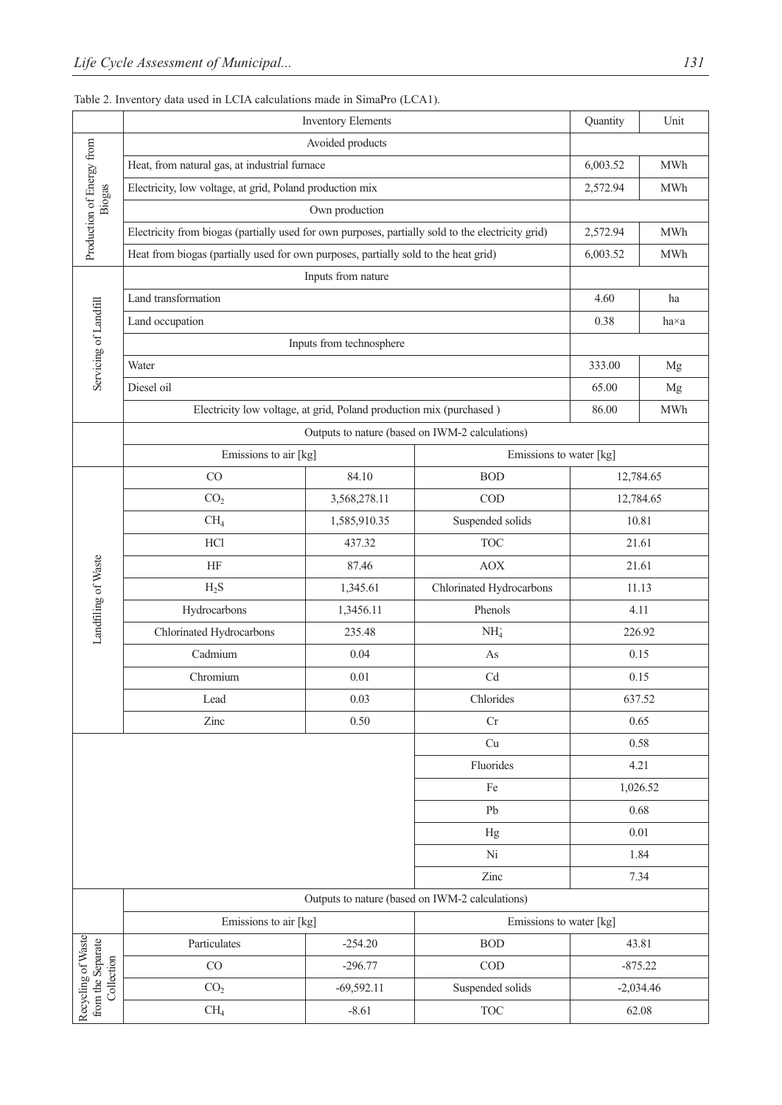|                                     |                                                                                                   | <b>Inventory Elements</b> |                                                 | Quantity    | Unit       |
|-------------------------------------|---------------------------------------------------------------------------------------------------|---------------------------|-------------------------------------------------|-------------|------------|
|                                     |                                                                                                   | Avoided products          |                                                 |             |            |
|                                     | Heat, from natural gas, at industrial furnace                                                     |                           |                                                 | 6,003.52    | <b>MWh</b> |
|                                     | Electricity, low voltage, at grid, Poland production mix                                          |                           |                                                 | 2,572.94    | MWh        |
| Production of Energy from<br>Biogas |                                                                                                   | Own production            |                                                 |             |            |
|                                     | Electricity from biogas (partially used for own purposes, partially sold to the electricity grid) |                           |                                                 | 2,572.94    | <b>MWh</b> |
|                                     | Heat from biogas (partially used for own purposes, partially sold to the heat grid)               |                           |                                                 | 6,003.52    | MWh        |
|                                     | Inputs from nature                                                                                |                           |                                                 |             |            |
|                                     | Land transformation                                                                               |                           |                                                 | 4.60        | ha         |
| Servicing of Landfill               | Land occupation                                                                                   |                           |                                                 | 0.38        | ha×a       |
|                                     |                                                                                                   | Inputs from technosphere  |                                                 |             |            |
|                                     | Water                                                                                             |                           |                                                 | 333.00      | Mg         |
|                                     | Diesel oil                                                                                        |                           |                                                 | 65.00       | Mg         |
|                                     | Electricity low voltage, at grid, Poland production mix (purchased)                               |                           |                                                 | 86.00       | <b>MWh</b> |
|                                     |                                                                                                   |                           | Outputs to nature (based on IWM-2 calculations) |             |            |
|                                     | Emissions to air [kg]<br>Emissions to water [kg]                                                  |                           |                                                 |             |            |
|                                     | CO                                                                                                | 84.10                     | <b>BOD</b>                                      | 12,784.65   |            |
|                                     | CO <sub>2</sub>                                                                                   | 3,568,278.11              | COD                                             | 12,784.65   |            |
|                                     | CH <sub>4</sub>                                                                                   | 1,585,910.35              | Suspended solids                                | 10.81       |            |
|                                     | <b>HCl</b>                                                                                        | 437.32                    | <b>TOC</b>                                      | 21.61       |            |
| Landfiling of Waste                 | HF                                                                                                | 87.46                     | <b>AOX</b>                                      | 21.61       |            |
|                                     | $H_2S$                                                                                            | 1,345.61                  | Chlorinated Hydrocarbons                        | 11.13       |            |
|                                     | Hydrocarbons                                                                                      | 1,3456.11                 | Phenols                                         | 4.11        |            |
|                                     | Chlorinated Hydrocarbons                                                                          | 235.48                    | NH <sub>4</sub>                                 | 226.92      |            |
|                                     | Cadmium                                                                                           | 0.04                      | As                                              | 0.15        |            |
|                                     | Chromium                                                                                          | 0.01                      | Cd                                              | 0.15        |            |
|                                     | Lead                                                                                              | 0.03                      | Chlorides                                       | 637.52      |            |
|                                     | Zinc                                                                                              | 0.50                      | Cr                                              | 0.65        |            |
|                                     |                                                                                                   |                           | Cu                                              | 0.58        |            |
|                                     |                                                                                                   |                           | Fluorides                                       | 4.21        |            |
|                                     |                                                                                                   |                           | $\rm Fe$                                        |             | 1,026.52   |
|                                     |                                                                                                   |                           | Pb                                              | 0.68        |            |
|                                     |                                                                                                   |                           | Hg                                              | $0.01\,$    |            |
| Ni                                  |                                                                                                   |                           |                                                 | 1.84        |            |
|                                     |                                                                                                   |                           | Zinc                                            |             | 7.34       |
|                                     |                                                                                                   |                           | Outputs to nature (based on IWM-2 calculations) |             |            |
|                                     | Emissions to air [kg]                                                                             |                           | Emissions to water [kg]                         |             |            |
| Recycling of Waste                  | Particulates                                                                                      | $-254.20$                 | <b>BOD</b>                                      | 43.81       |            |
| from the Separate<br>Collection     | CO                                                                                                | $-296.77$                 | $\rm COD$                                       | $-875.22$   |            |
|                                     | CO <sub>2</sub>                                                                                   | $-69,592.11$              | Suspended solids                                | $-2,034.46$ |            |
|                                     | CH <sub>4</sub>                                                                                   | $-8.61$                   | <b>TOC</b>                                      | 62.08       |            |

# Table 2. Inventory data used in LCIA calculations made in SimaPro (LCA1).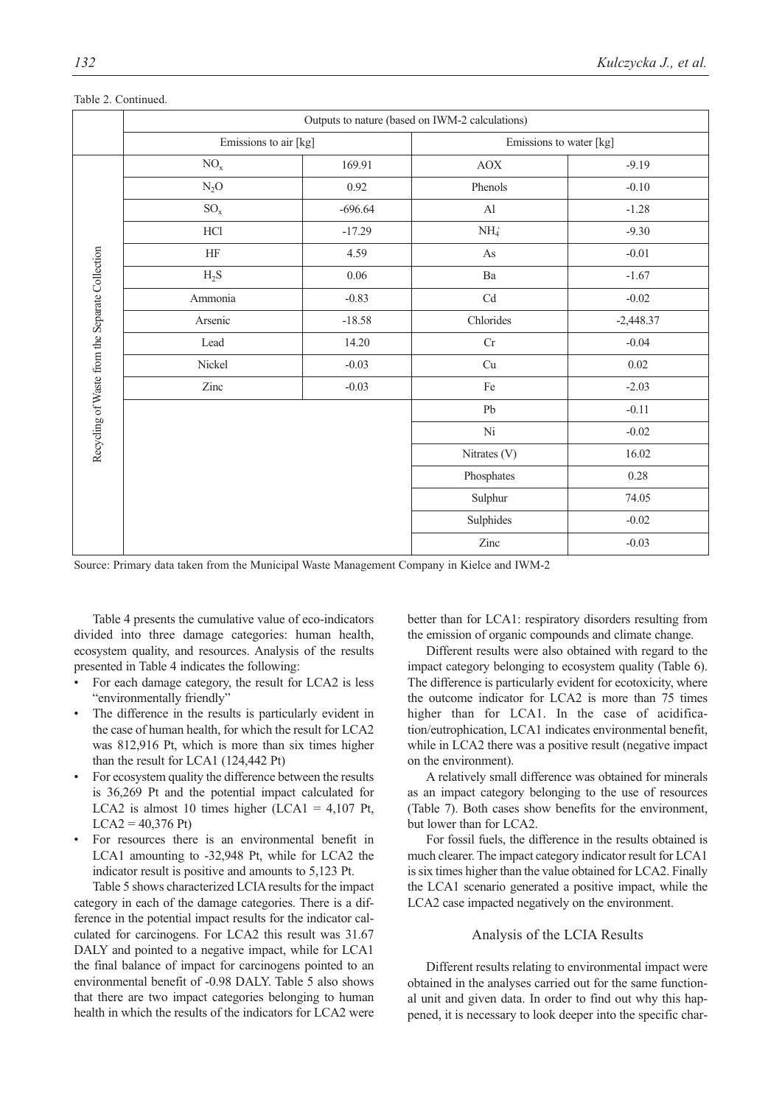|                                                 |                                                  |           | Outputs to nature (based on IWM-2 calculations) |             |
|-------------------------------------------------|--------------------------------------------------|-----------|-------------------------------------------------|-------------|
|                                                 | Emissions to air [kg]<br>Emissions to water [kg] |           |                                                 |             |
|                                                 | NO <sub>x</sub>                                  | 169.91    | $\rm{AOX}$                                      | $-9.19$     |
|                                                 | $N_2O$                                           | 0.92      | Phenols                                         | $-0.10$     |
|                                                 | $SO_{x}$                                         | $-696.64$ | $\mathop{\rm Al}\nolimits$                      | $-1.28$     |
|                                                 | $\rm HCl$                                        | $-17.29$  | $NH4+$                                          | $-9.30$     |
|                                                 | HF                                               | 4.59      | $\mathbf{A}\mathbf{s}$                          | $-0.01$     |
|                                                 | $H_2S$                                           | 0.06      | $\rm Ba$                                        | $-1.67$     |
| Recycling of Waste from the Separate Collection | Ammonia                                          | $-0.83$   | $\ensuremath{\mathrm{Cd}}$                      | $-0.02$     |
|                                                 | Arsenic                                          | $-18.58$  | Chlorides                                       | $-2,448.37$ |
|                                                 | Lead                                             | 14.20     | $\rm Cr$                                        | $-0.04$     |
|                                                 | Nickel                                           | $-0.03$   | $\ensuremath{\mathrm{Cu}}$                      | $0.02\,$    |
|                                                 | Zinc                                             | $-0.03$   | $\rm Fe$                                        | $-2.03$     |
|                                                 |                                                  |           | Pb                                              | $-0.11$     |
|                                                 |                                                  |           | Ni                                              | $-0.02$     |
|                                                 |                                                  |           | Nitrates (V)                                    | 16.02       |
|                                                 |                                                  |           | Phosphates                                      | $0.28\,$    |
|                                                 |                                                  |           | Sulphur                                         | 74.05       |
|                                                 |                                                  |           | Sulphides                                       | $-0.02$     |
|                                                 |                                                  |           | Zinc                                            | $-0.03$     |

## Table 2. Continued.

Source: Primary data taken from the Municipal Waste Management Company in Kielce and IWM-2

Table 4 presents the cumulative value of eco-indicators divided into three damage categories: human health, ecosystem quality, and resources. Analysis of the results presented in Table 4 indicates the following:

- For each damage category, the result for LCA2 is less "environmentally friendly"
- The difference in the results is particularly evident in the case of human health, for which the result for LCA2 was 812,916 Pt, which is more than six times higher than the result for LCA1 (124,442 Pt)
- For ecosystem quality the difference between the results is 36,269 Pt and the potential impact calculated for LCA2 is almost 10 times higher (LCA1 =  $4,107$  Pt,  $LCA2 = 40,376$  Pt)
- For resources there is an environmental benefit in LCA1 amounting to -32,948 Pt, while for LCA2 the indicator result is positive and amounts to 5,123 Pt.

Table 5 shows characterized LCIA results for the impact category in each of the damage categories. There is a difference in the potential impact results for the indicator calculated for carcinogens. For LCA2 this result was 31.67 DALY and pointed to a negative impact, while for LCA1 the final balance of impact for carcinogens pointed to an environmental benefit of -0.98 DALY. Table 5 also shows that there are two impact categories belonging to human health in which the results of the indicators for LCA2 were better than for LCA1: respiratory disorders resulting from the emission of organic compounds and climate change.

Different results were also obtained with regard to the impact category belonging to ecosystem quality (Table 6). The difference is particularly evident for ecotoxicity, where the outcome indicator for LCA2 is more than 75 times higher than for LCA1. In the case of acidification/eutrophication, LCA1 indicates environmental benefit, while in LCA2 there was a positive result (negative impact on the environment).

A relatively small difference was obtained for minerals as an impact category belonging to the use of resources (Table 7). Both cases show benefits for the environment, but lower than for LCA2.

For fossil fuels, the difference in the results obtained is much clearer. The impact category indicator result for LCA1 is six times higher than the value obtained for LCA2. Finally the LCA1 scenario generated a positive impact, while the LCA2 case impacted negatively on the environment.

## Analysis of the LCIA Results

Different results relating to environmental impact were obtained in the analyses carried out for the same functional unit and given data. In order to find out why this happened, it is necessary to look deeper into the specific char-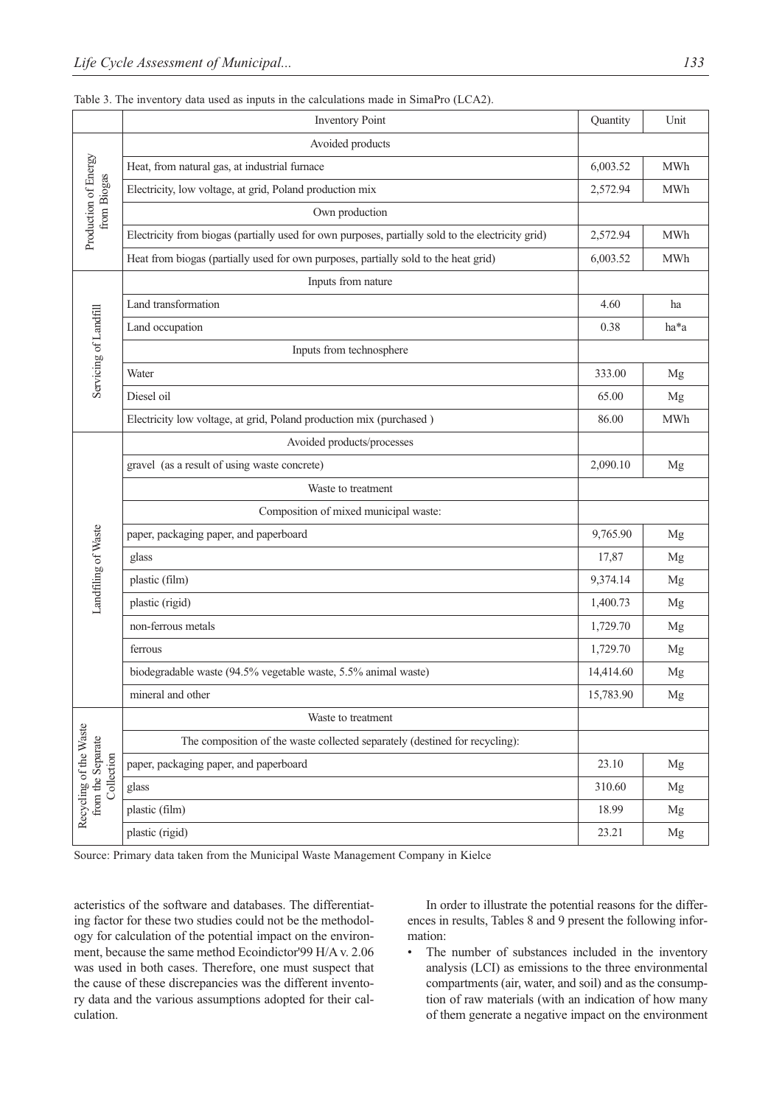|                                     | <b>Inventory Point</b>                                                                            | Quantity  | Unit        |
|-------------------------------------|---------------------------------------------------------------------------------------------------|-----------|-------------|
|                                     | Avoided products                                                                                  |           |             |
|                                     | Heat, from natural gas, at industrial furnace                                                     | 6,003.52  | <b>MWh</b>  |
|                                     | Electricity, low voltage, at grid, Poland production mix                                          | 2,572.94  | <b>MWh</b>  |
| Production of Energy<br>from Biogas | Own production                                                                                    |           |             |
|                                     | Electricity from biogas (partially used for own purposes, partially sold to the electricity grid) | 2,572.94  | <b>MWh</b>  |
|                                     | Heat from biogas (partially used for own purposes, partially sold to the heat grid)               | 6,003.52  | <b>MWh</b>  |
|                                     | Inputs from nature                                                                                |           |             |
|                                     | Land transformation                                                                               | 4.60      | ha          |
|                                     | Land occupation                                                                                   | 0.38      | ha*a        |
| Servicing of Landfill               | Inputs from technosphere                                                                          |           |             |
|                                     | Water                                                                                             | 333.00    | Mg          |
|                                     | Diesel oil                                                                                        | 65.00     | Mg          |
|                                     | Electricity low voltage, at grid, Poland production mix (purchased)                               | 86.00     | <b>MWh</b>  |
|                                     | Avoided products/processes                                                                        |           |             |
|                                     | gravel (as a result of using waste concrete)                                                      | 2,090.10  | Mg          |
|                                     | Waste to treatment                                                                                |           |             |
|                                     | Composition of mixed municipal waste:                                                             |           |             |
|                                     | paper, packaging paper, and paperboard                                                            | 9,765.90  | Mg          |
| Landfiling of Waste                 | glass                                                                                             | 17,87     | Mg          |
|                                     | plastic (film)                                                                                    | 9,374.14  | Mg          |
|                                     | plastic (rigid)                                                                                   | 1,400.73  | Mg          |
|                                     | non-ferrous metals                                                                                | 1,729.70  | Mg          |
|                                     | ferrous                                                                                           | 1,729.70  | Mg          |
|                                     | biodegradable waste (94.5% vegetable waste, 5.5% animal waste)                                    | 14,414.60 | Mg          |
|                                     | mineral and other                                                                                 | 15,783.90 | $_{\rm Mg}$ |
|                                     | Waste to treatment                                                                                |           |             |
|                                     | The composition of the waste collected separately (destined for recycling):                       |           |             |
|                                     | paper, packaging paper, and paperboard                                                            | 23.10     | Mg          |
| from the Separate<br>Collection     | glass                                                                                             | 310.60    | Mg          |
| Recycling of the Waste              | plastic (film)                                                                                    | 18.99     | Mg          |
|                                     | plastic (rigid)                                                                                   | 23.21     | Mg          |

#### Table 3. The inventory data used as inputs in the calculations made in SimaPro (LCA2).

Source: Primary data taken from the Municipal Waste Management Company in Kielce

acteristics of the software and databases. The differentiating factor for these two studies could not be the methodology for calculation of the potential impact on the environment, because the same method Ecoindictor'99 H/A v. 2.06 was used in both cases. Therefore, one must suspect that the cause of these discrepancies was the different inventory data and the various assumptions adopted for their calculation.

In order to illustrate the potential reasons for the differences in results, Tables 8 and 9 present the following information:

• The number of substances included in the inventory analysis (LCI) as emissions to the three environmental compartments (air, water, and soil) and as the consumption of raw materials (with an indication of how many of them generate a negative impact on the environment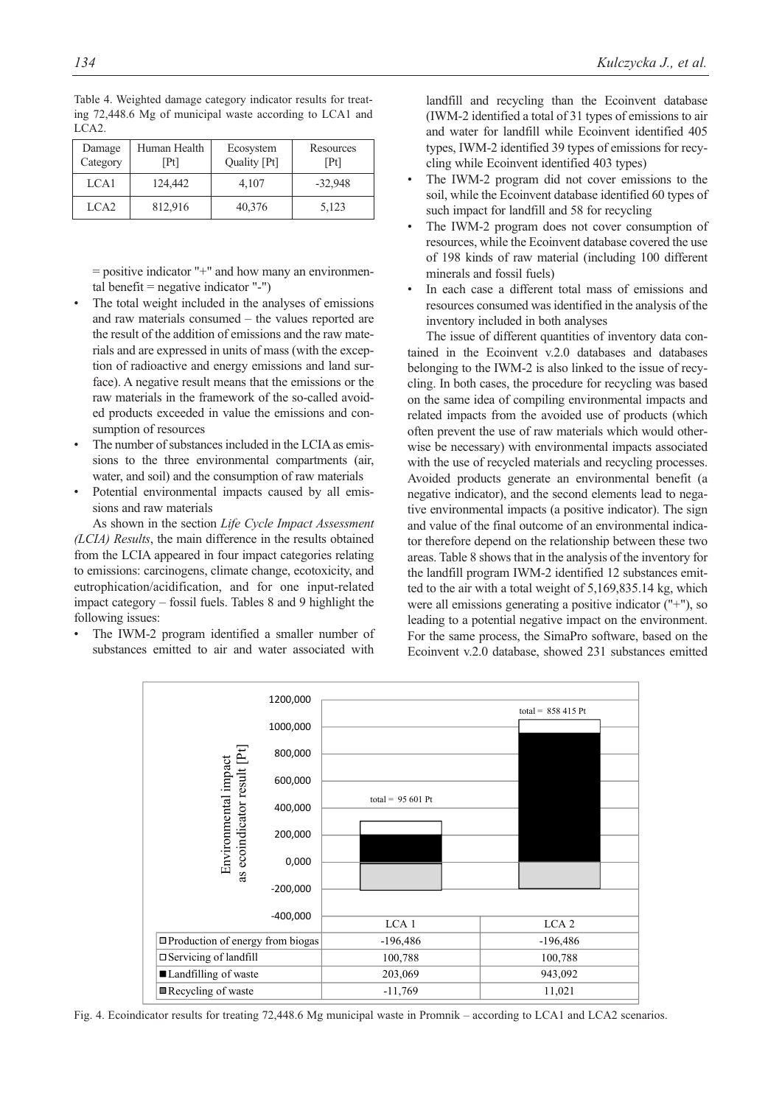| Damage<br>Category | Human Health<br>[Pt] | Ecosystem<br>Quality [Pt] | Resources<br>[Pt] |
|--------------------|----------------------|---------------------------|-------------------|
| LCA <sub>1</sub>   | 124,442              | 4,107                     | $-32,948$         |
| LCA <sub>2</sub>   | 812,916              | 40,376                    | 5,123             |

Table 4. Weighted damage category indicator results for treating 72,448.6 Mg of municipal waste according to LCA1 and LCA2.

 $=$  positive indicator "+" and how many an environmental benefit  $=$  negative indicator  $"$ - $")$ 

- The total weight included in the analyses of emissions and raw materials consumed – the values reported are the result of the addition of emissions and the raw materials and are expressed in units of mass (with the exception of radioactive and energy emissions and land surface). A negative result means that the emissions or the raw materials in the framework of the so-called avoided products exceeded in value the emissions and consumption of resources
- The number of substances included in the LCIA as emissions to the three environmental compartments (air, water, and soil) and the consumption of raw materials
- Potential environmental impacts caused by all emissions and raw materials

As shown in the section *Life Cycle Impact Assessment (LCIA) Results*, the main difference in the results obtained from the LCIA appeared in four impact categories relating to emissions: carcinogens, climate change, ecotoxicity, and eutrophication/acidification, and for one input-related impact category – fossil fuels. Tables 8 and 9 highlight the following issues:

The IWM-2 program identified a smaller number of substances emitted to air and water associated with

landfill and recycling than the Ecoinvent database (IWM-2 identified a total of 31 types of emissions to air and water for landfill while Ecoinvent identified 405 types, IWM-2 identified 39 types of emissions for recycling while Ecoinvent identified 403 types)

- The IWM-2 program did not cover emissions to the soil, while the Ecoinvent database identified 60 types of such impact for landfill and 58 for recycling
- The IWM-2 program does not cover consumption of resources, while the Ecoinvent database covered the use of 198 kinds of raw material (including 100 different minerals and fossil fuels)
- In each case a different total mass of emissions and resources consumed was identified in the analysis of the inventory included in both analyses

The issue of different quantities of inventory data contained in the Ecoinvent v.2.0 databases and databases belonging to the IWM-2 is also linked to the issue of recycling. In both cases, the procedure for recycling was based on the same idea of compiling environmental impacts and related impacts from the avoided use of products (which often prevent the use of raw materials which would otherwise be necessary) with environmental impacts associated with the use of recycled materials and recycling processes. Avoided products generate an environmental benefit (a negative indicator), and the second elements lead to negative environmental impacts (a positive indicator). The sign and value of the final outcome of an environmental indicator therefore depend on the relationship between these two areas. Table 8 shows that in the analysis of the inventory for the landfill program IWM-2 identified 12 substances emitted to the air with a total weight of 5,169,835.14 kg, which were all emissions generating a positive indicator ("+"), so leading to a potential negative impact on the environment. For the same process, the SimaPro software, based on the Ecoinvent v.2.0 database, showed 231 substances emitted



Fig. 4. Ecoindicator results for treating 72,448.6 Mg municipal waste in Promnik – according to LCA1 and LCA2 scenarios.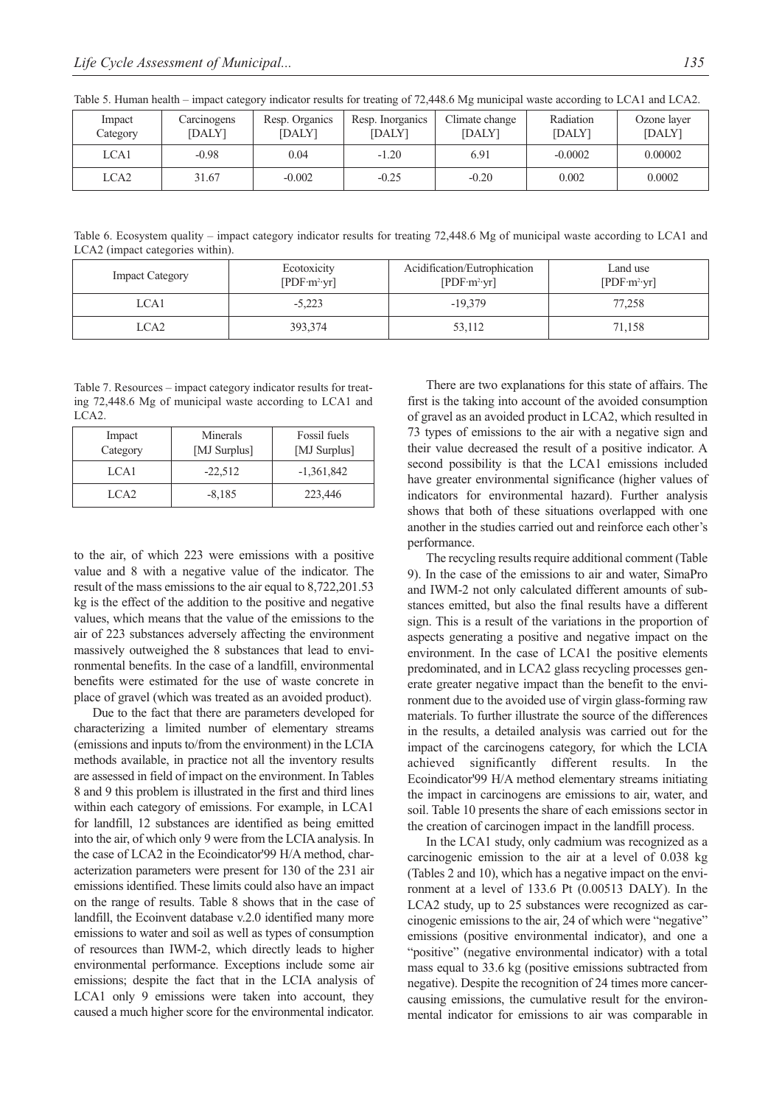| Impact<br>Category | Carcinogens<br><b>[DALY]</b> | Resp. Organics<br>[DALY] | Resp. Inorganics<br>[DALY] | Climate change<br><b>[DALY]</b> | Radiation<br>[DALY] | Ozone layer<br>[DALY] |
|--------------------|------------------------------|--------------------------|----------------------------|---------------------------------|---------------------|-----------------------|
| LCA1               | $-0.98$                      | 0.04                     | $-1.20$                    | 6.91                            | $-0.0002$           | 0.00002               |
| LCA <sub>2</sub>   | 31.67                        | $-0.002$                 | $-0.25$                    | $-0.20$                         | 0.002               | 0.0002                |

Table 5. Human health – impact category indicator results for treating of 72,448.6 Mg municipal waste according to LCA1 and LCA2.

Table 6. Ecosystem quality – impact category indicator results for treating 72,448.6 Mg of municipal waste according to LCA1 and LCA2 (impact categories within).

| <b>Impact Category</b> | Ecotoxicity<br>[PDF·m²·yr] | Acidification/Eutrophication<br>[PDF·m²·yr] | Land use<br>[PDF·m²·yr] |
|------------------------|----------------------------|---------------------------------------------|-------------------------|
| LCA1                   | $-5,223$                   | $-19.379$                                   | 77,258                  |
| LCA2                   | 393,374                    | 53,112                                      | 71,158                  |

Table 7. Resources – impact category indicator results for treating 72,448.6 Mg of municipal waste according to LCA1 and LCA2.

| Impact<br>Category | Minerals<br>[MJ Surplus] | Fossil fuels<br>[MJ Surplus] |
|--------------------|--------------------------|------------------------------|
| LCA <sub>1</sub>   | $-22,512$                | $-1,361,842$                 |
| LCA <sub>2</sub>   | $-8,185$                 | 223,446                      |

to the air, of which 223 were emissions with a positive value and 8 with a negative value of the indicator. The result of the mass emissions to the air equal to 8,722,201.53 kg is the effect of the addition to the positive and negative values, which means that the value of the emissions to the air of 223 substances adversely affecting the environment massively outweighed the 8 substances that lead to environmental benefits. In the case of a landfill, environmental benefits were estimated for the use of waste concrete in place of gravel (which was treated as an avoided product).

Due to the fact that there are parameters developed for characterizing a limited number of elementary streams (emissions and inputs to/from the environment) in the LCIA methods available, in practice not all the inventory results are assessed in field of impact on the environment. In Tables 8 and 9 this problem is illustrated in the first and third lines within each category of emissions. For example, in LCA1 for landfill, 12 substances are identified as being emitted into the air, of which only 9 were from the LCIA analysis. In the case of LCA2 in the Ecoindicator'99 H/A method, characterization parameters were present for 130 of the 231 air emissions identified. These limits could also have an impact on the range of results. Table 8 shows that in the case of landfill, the Ecoinvent database v.2.0 identified many more emissions to water and soil as well as types of consumption of resources than IWM-2, which directly leads to higher environmental performance. Exceptions include some air emissions; despite the fact that in the LCIA analysis of LCA1 only 9 emissions were taken into account, they caused a much higher score for the environmental indicator.

There are two explanations for this state of affairs. The first is the taking into account of the avoided consumption of gravel as an avoided product in LCA2, which resulted in 73 types of emissions to the air with a negative sign and their value decreased the result of a positive indicator. A second possibility is that the LCA1 emissions included have greater environmental significance (higher values of indicators for environmental hazard). Further analysis shows that both of these situations overlapped with one another in the studies carried out and reinforce each other's performance.

The recycling results require additional comment (Table 9). In the case of the emissions to air and water, SimaPro and IWM-2 not only calculated different amounts of substances emitted, but also the final results have a different sign. This is a result of the variations in the proportion of aspects generating a positive and negative impact on the environment. In the case of LCA1 the positive elements predominated, and in LCA2 glass recycling processes generate greater negative impact than the benefit to the environment due to the avoided use of virgin glass-forming raw materials. To further illustrate the source of the differences in the results, a detailed analysis was carried out for the impact of the carcinogens category, for which the LCIA achieved significantly different results. In the Ecoindicator'99 H/A method elementary streams initiating the impact in carcinogens are emissions to air, water, and soil. Table 10 presents the share of each emissions sector in the creation of carcinogen impact in the landfill process.

In the LCA1 study, only cadmium was recognized as a carcinogenic emission to the air at a level of 0.038 kg (Tables 2 and 10), which has a negative impact on the environment at a level of 133.6 Pt (0.00513 DALY). In the LCA2 study, up to 25 substances were recognized as carcinogenic emissions to the air, 24 of which were "negative" emissions (positive environmental indicator), and one a "positive" (negative environmental indicator) with a total mass equal to 33.6 kg (positive emissions subtracted from negative). Despite the recognition of 24 times more cancercausing emissions, the cumulative result for the environmental indicator for emissions to air was comparable in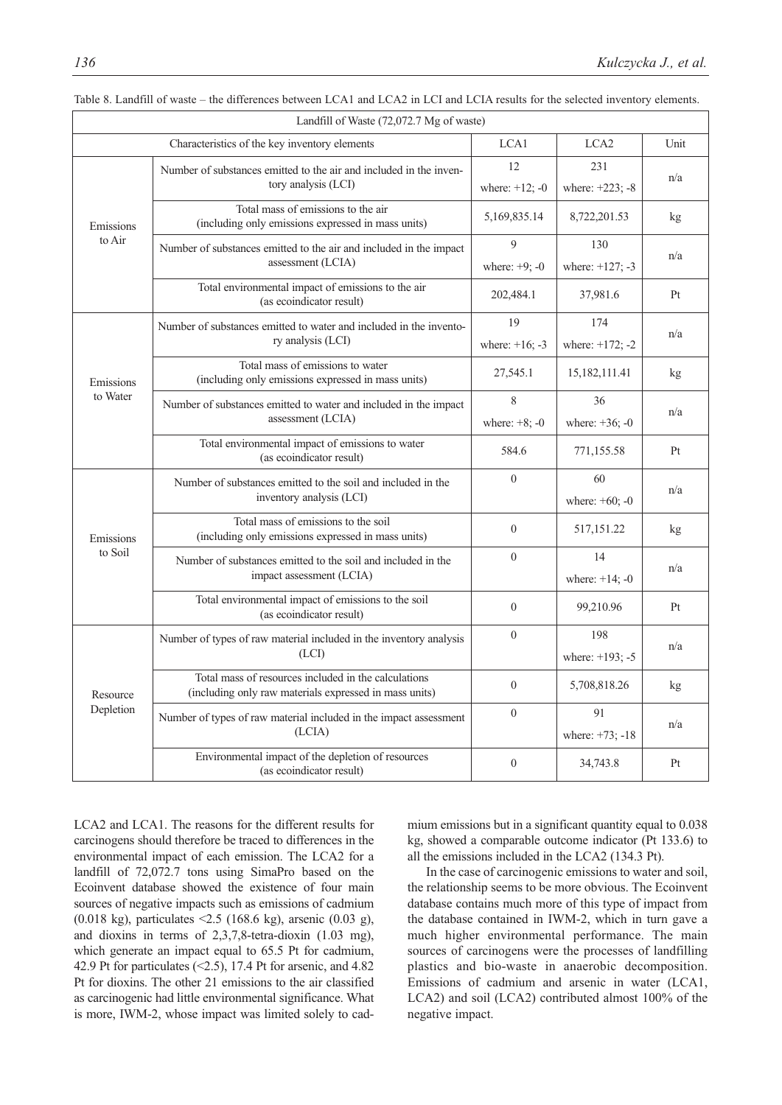| Landfill of Waste (72,072.7 Mg of waste)                                  |                                                                                                                |                           |                             |     |  |
|---------------------------------------------------------------------------|----------------------------------------------------------------------------------------------------------------|---------------------------|-----------------------------|-----|--|
| LCA1<br>LCA <sub>2</sub><br>Characteristics of the key inventory elements |                                                                                                                |                           |                             |     |  |
|                                                                           | Number of substances emitted to the air and included in the inven-<br>tory analysis (LCI)                      | 12<br>where: $+12$ ; -0   | 231<br>where: +223; -8      | n/a |  |
| Emissions                                                                 | Total mass of emissions to the air<br>(including only emissions expressed in mass units)                       | 5,169,835.14              | 8,722,201.53                | kg  |  |
| to Air                                                                    | Number of substances emitted to the air and included in the impact<br>assessment (LCIA)                        | 9<br>where: $+9$ ; $-0$   | 130<br>where: $+127$ ; $-3$ | n/a |  |
|                                                                           | Total environmental impact of emissions to the air<br>(as ecoindicator result)                                 | 202,484.1                 | 37,981.6                    | Pt  |  |
|                                                                           | Number of substances emitted to water and included in the invento-<br>ry analysis (LCI)                        | 19<br>where: $+16$ ; $-3$ | 174<br>where: $+172; -2$    | n/a |  |
| Emissions                                                                 | Total mass of emissions to water<br>(including only emissions expressed in mass units)                         | 27,545.1                  | 15,182,111.41               | kg  |  |
| to Water                                                                  | Number of substances emitted to water and included in the impact<br>assessment (LCIA)                          | 8<br>where: $+8$ ; -0     | 36<br>where: $+36; -0$      | n/a |  |
|                                                                           | Total environmental impact of emissions to water<br>(as ecoindicator result)                                   | 584.6                     | 771,155.58                  | Pt  |  |
|                                                                           | Number of substances emitted to the soil and included in the<br>inventory analysis (LCI)                       | $\theta$                  | 60<br>where: $+60$ ; $-0$   | n/a |  |
| Emissions                                                                 | Total mass of emissions to the soil<br>(including only emissions expressed in mass units)                      | $\boldsymbol{0}$          | 517,151.22                  | kg  |  |
| to Soil                                                                   | Number of substances emitted to the soil and included in the<br>impact assessment (LCIA)                       | $\theta$                  | 14<br>where: $+14$ ; $-0$   | n/a |  |
|                                                                           | Total environmental impact of emissions to the soil<br>(as ecoindicator result)                                | $\boldsymbol{0}$          | 99,210.96                   | Pt  |  |
|                                                                           | Number of types of raw material included in the inventory analysis<br>(LCI)                                    | $\theta$                  | 198<br>where: +193; -5      | n/a |  |
| Resource                                                                  | Total mass of resources included in the calculations<br>(including only raw materials expressed in mass units) | $\overline{0}$            | 5,708,818.26                | kg  |  |
| Depletion                                                                 | Number of types of raw material included in the impact assessment<br>(LCIA)                                    | $\mathbf{0}$              | 91<br>where: $+73$ ; $-18$  | n/a |  |
|                                                                           | Environmental impact of the depletion of resources<br>(as ecoindicator result)                                 | $\overline{0}$            | 34,743.8                    | Pt  |  |

| Table 8. Landfill of waste – the differences between LCA1 and LCA2 in LCI and LCIA results for the selected inventory elements. |  |
|---------------------------------------------------------------------------------------------------------------------------------|--|
|---------------------------------------------------------------------------------------------------------------------------------|--|

LCA2 and LCA1. The reasons for the different results for carcinogens should therefore be traced to differences in the environmental impact of each emission. The LCA2 for a landfill of 72,072.7 tons using SimaPro based on the Ecoinvent database showed the existence of four main sources of negative impacts such as emissions of cadmium (0.018 kg), particulates <2.5 (168.6 kg), arsenic (0.03 g), and dioxins in terms of 2,3,7,8-tetra-dioxin (1.03 mg), which generate an impact equal to 65.5 Pt for cadmium, 42.9 Pt for particulates (<2.5), 17.4 Pt for arsenic, and 4.82 Pt for dioxins. The other 21 emissions to the air classified as carcinogenic had little environmental significance. What is more, IWM-2, whose impact was limited solely to cad-

mium emissions but in a significant quantity equal to 0.038 kg, showed a comparable outcome indicator (Pt 133.6) to all the emissions included in the LCA2 (134.3 Pt).

In the case of carcinogenic emissions to water and soil, the relationship seems to be more obvious. The Ecoinvent database contains much more of this type of impact from the database contained in IWM-2, which in turn gave a much higher environmental performance. The main sources of carcinogens were the processes of landfilling plastics and bio-waste in anaerobic decomposition. Emissions of cadmium and arsenic in water (LCA1, LCA2) and soil (LCA2) contributed almost 100% of the negative impact.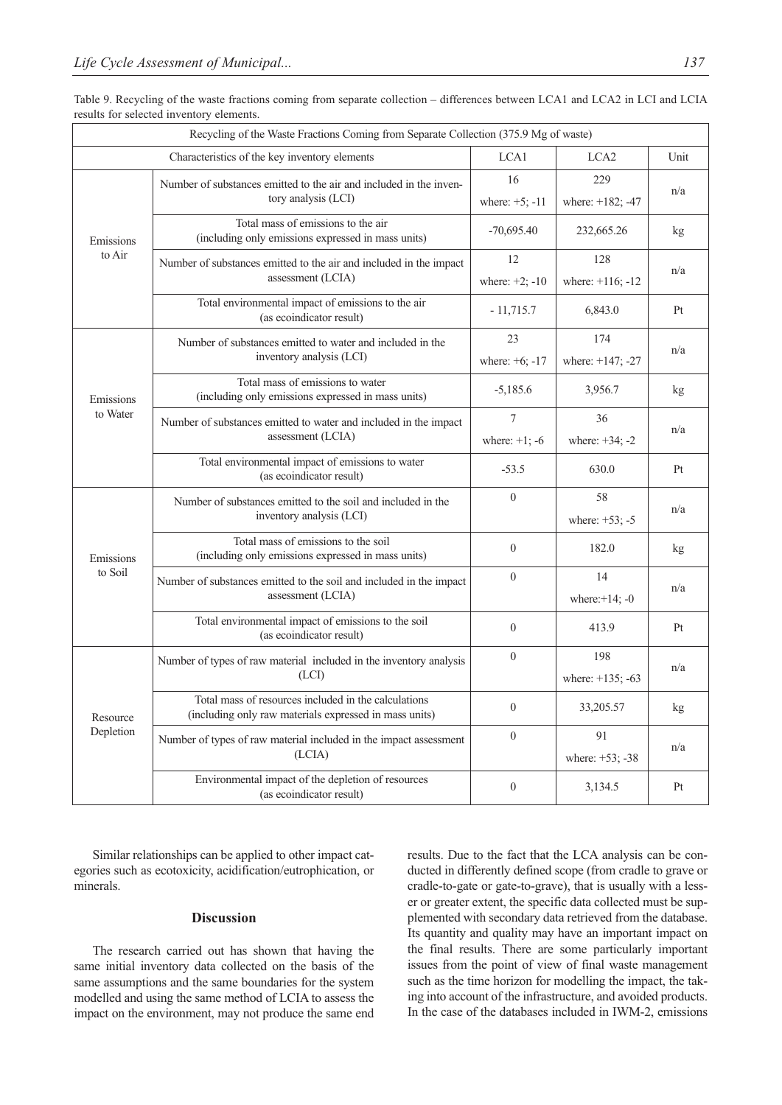|                       | Recycling of the Waste Fractions Coming from Separate Collection (375.9 Mg of waste)                           |                                    |                              |      |
|-----------------------|----------------------------------------------------------------------------------------------------------------|------------------------------------|------------------------------|------|
|                       | Characteristics of the key inventory elements                                                                  | LCA1                               | LCA <sub>2</sub>             | Unit |
|                       | Number of substances emitted to the air and included in the inven-<br>tory analysis (LCI)                      | 16<br>where: $+5$ ; $-11$          | 229<br>where: +182; -47      | n/a  |
| Emissions             | Total mass of emissions to the air<br>(including only emissions expressed in mass units)                       | $-70,695.40$                       | 232,665.26                   | kg   |
| to Air                | Number of substances emitted to the air and included in the impact<br>assessment (LCIA)                        | 12<br>where: $+2$ ; $-10$          | 128<br>where: $+116$ ; $-12$ | n/a  |
|                       | Total environmental impact of emissions to the air<br>(as ecoindicator result)                                 | $-11,715.7$                        | 6,843.0                      | Pt   |
|                       | Number of substances emitted to water and included in the<br>inventory analysis (LCI)                          | 23<br>where: $+6$ ; $-17$          | 174<br>where: +147; -27      | n/a  |
| Emissions<br>to Water | Total mass of emissions to water<br>(including only emissions expressed in mass units)                         | $-5,185.6$                         | 3,956.7                      | kg   |
|                       | Number of substances emitted to water and included in the impact<br>assessment (LCIA)                          | $\overline{7}$<br>where: $+1$ ; -6 | 36<br>where: $+34$ ; $-2$    | n/a  |
|                       | Total environmental impact of emissions to water<br>(as ecoindicator result)                                   | $-53.5$                            | 630.0                        | Pt   |
|                       | Number of substances emitted to the soil and included in the<br>inventory analysis (LCI)                       | $\mathbf{0}$                       | 58<br>where: $+53$ ; $-5$    | n/a  |
| Emissions             | Total mass of emissions to the soil<br>(including only emissions expressed in mass units)                      | $\mathbf{0}$                       | 182.0                        | kg   |
| to Soil               | Number of substances emitted to the soil and included in the impact<br>assessment (LCIA)                       | $\mathbf{0}$                       | 14<br>where: $+14$ ; -0      | n/a  |
|                       | Total environmental impact of emissions to the soil<br>(as ecoindicator result)                                | $\boldsymbol{0}$                   | 413.9                        | Pt   |
| Resource<br>Depletion | Number of types of raw material included in the inventory analysis<br>(LCI)                                    | $\mathbf{0}$                       | 198<br>where: $+135$ ; $-63$ | n/a  |
|                       | Total mass of resources included in the calculations<br>(including only raw materials expressed in mass units) | $\mathbf{0}$                       | 33,205.57                    | kg   |
|                       | Number of types of raw material included in the impact assessment<br>(LCIA)                                    | $\mathbf{0}$                       | 91<br>where: $+53$ ; $-38$   | n/a  |
|                       | Environmental impact of the depletion of resources<br>(as ecoindicator result)                                 | $\mathbf{0}$                       | 3,134.5                      | Pt   |

Table 9. Recycling of the waste fractions coming from separate collection – differences between LCA1 and LCA2 in LCI and LCIA results for selected inventory elements.

Similar relationships can be applied to other impact categories such as ecotoxicity, acidification/eutrophication, or minerals.

# **Discussion**

The research carried out has shown that having the same initial inventory data collected on the basis of the same assumptions and the same boundaries for the system modelled and using the same method of LCIA to assess the impact on the environment, may not produce the same end results. Due to the fact that the LCA analysis can be conducted in differently defined scope (from cradle to grave or cradle-to-gate or gate-to-grave), that is usually with a lesser or greater extent, the specific data collected must be supplemented with secondary data retrieved from the database. Its quantity and quality may have an important impact on the final results. There are some particularly important issues from the point of view of final waste management such as the time horizon for modelling the impact, the taking into account of the infrastructure, and avoided products. In the case of the databases included in IWM-2, emissions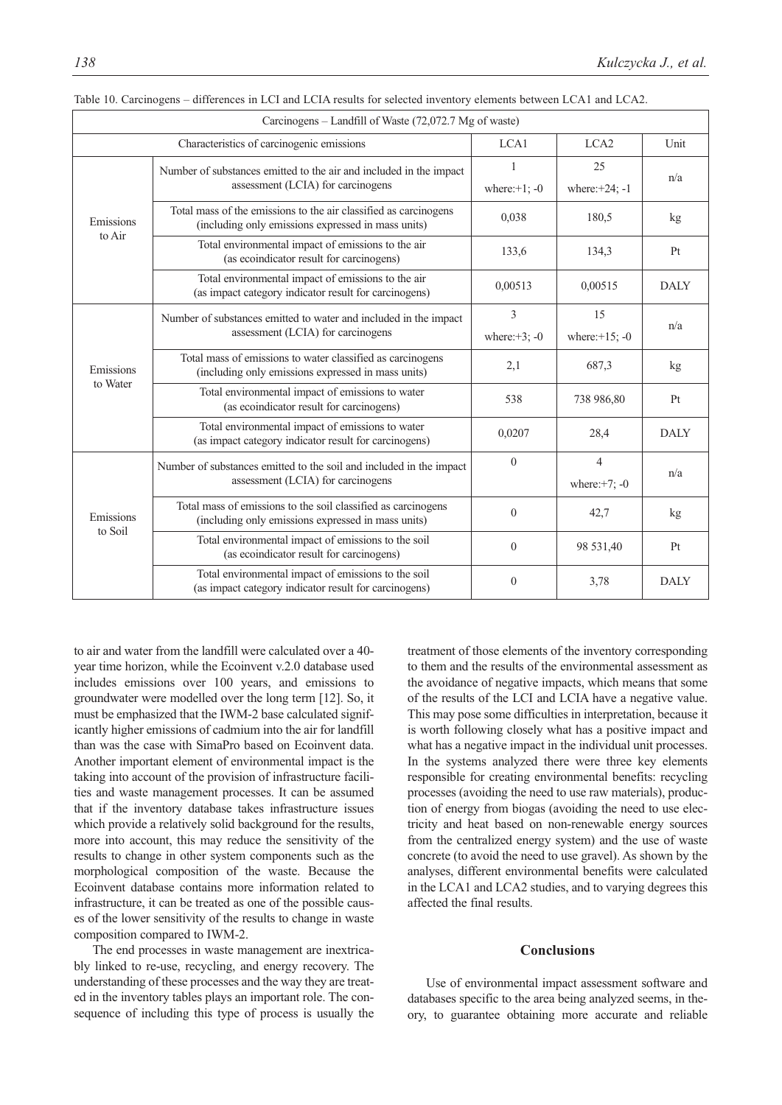| Carcinogens - Landfill of Waste (72,072.7 Mg of waste) |                                                                                                                        |                  |                     |             |  |
|--------------------------------------------------------|------------------------------------------------------------------------------------------------------------------------|------------------|---------------------|-------------|--|
|                                                        | Characteristics of carcinogenic emissions                                                                              | LCA1             | LCA <sub>2</sub>    | Unit        |  |
|                                                        | Number of substances emitted to the air and included in the impact                                                     |                  | 25                  |             |  |
|                                                        | assessment (LCIA) for carcinogens                                                                                      | where: $+1$ ; -0 | where: $+24$ ; $-1$ | n/a         |  |
| Emissions<br>to Air                                    | Total mass of the emissions to the air classified as carcinogens<br>(including only emissions expressed in mass units) | 0.038            | 180,5               | kg          |  |
|                                                        | Total environmental impact of emissions to the air<br>(as ecoindicator result for carcinogens)                         | 133,6            | 134,3               | Pt          |  |
|                                                        | Total environmental impact of emissions to the air<br>(as impact category indicator result for carcinogens)            | 0,00513          | 0,00515             | <b>DALY</b> |  |
|                                                        | Number of substances emitted to water and included in the impact<br>assessment (LCIA) for carcinogens                  | 3                | 15                  | n/a         |  |
|                                                        |                                                                                                                        | where: $+3$ ; -0 | where: $+15$ ; -0   |             |  |
| Emissions<br>to Water                                  | Total mass of emissions to water classified as carcinogens<br>(including only emissions expressed in mass units)       | 2,1              | 687,3               | kg          |  |
|                                                        | Total environmental impact of emissions to water<br>(as ecoindicator result for carcinogens)                           | 538              | 738 986,80          | Pt          |  |
|                                                        | Total environmental impact of emissions to water<br>(as impact category indicator result for carcinogens)              | 0,0207           | 28,4                | <b>DALY</b> |  |
|                                                        | Number of substances emitted to the soil and included in the impact                                                    | $\theta$         | $\overline{4}$      | n/a         |  |
|                                                        | assessment (LCIA) for carcinogens                                                                                      |                  | where: $+7$ ; -0    |             |  |
| Emissions<br>to Soil                                   | Total mass of emissions to the soil classified as carcinogens<br>(including only emissions expressed in mass units)    | $\theta$         | 42,7                | kg          |  |
|                                                        | Total environmental impact of emissions to the soil<br>(as ecoindicator result for carcinogens)                        | $\theta$         | 98 531,40           | Pt          |  |
|                                                        | Total environmental impact of emissions to the soil<br>(as impact category indicator result for carcinogens)           | $\theta$         | 3,78                | <b>DALY</b> |  |

| Table 10. Carcinogens – differences in LCI and LCIA results for selected inventory elements between LCA1 and LCA2. |  |
|--------------------------------------------------------------------------------------------------------------------|--|
|--------------------------------------------------------------------------------------------------------------------|--|

to air and water from the landfill were calculated over a 40 year time horizon, while the Ecoinvent v.2.0 database used includes emissions over 100 years, and emissions to groundwater were modelled over the long term [12]. So, it must be emphasized that the IWM-2 base calculated significantly higher emissions of cadmium into the air for landfill than was the case with SimaPro based on Ecoinvent data. Another important element of environmental impact is the taking into account of the provision of infrastructure facilities and waste management processes. It can be assumed that if the inventory database takes infrastructure issues which provide a relatively solid background for the results, more into account, this may reduce the sensitivity of the results to change in other system components such as the morphological composition of the waste. Because the Ecoinvent database contains more information related to infrastructure, it can be treated as one of the possible causes of the lower sensitivity of the results to change in waste composition compared to IWM-2.

The end processes in waste management are inextricably linked to re-use, recycling, and energy recovery. The understanding of these processes and the way they are treated in the inventory tables plays an important role. The consequence of including this type of process is usually the treatment of those elements of the inventory corresponding to them and the results of the environmental assessment as the avoidance of negative impacts, which means that some of the results of the LCI and LCIA have a negative value. This may pose some difficulties in interpretation, because it is worth following closely what has a positive impact and what has a negative impact in the individual unit processes. In the systems analyzed there were three key elements responsible for creating environmental benefits: recycling processes (avoiding the need to use raw materials), production of energy from biogas (avoiding the need to use electricity and heat based on non-renewable energy sources from the centralized energy system) and the use of waste concrete (to avoid the need to use gravel). As shown by the analyses, different environmental benefits were calculated in the LCA1 and LCA2 studies, and to varying degrees this affected the final results.

## **Conclusions**

Use of environmental impact assessment software and databases specific to the area being analyzed seems, in theory, to guarantee obtaining more accurate and reliable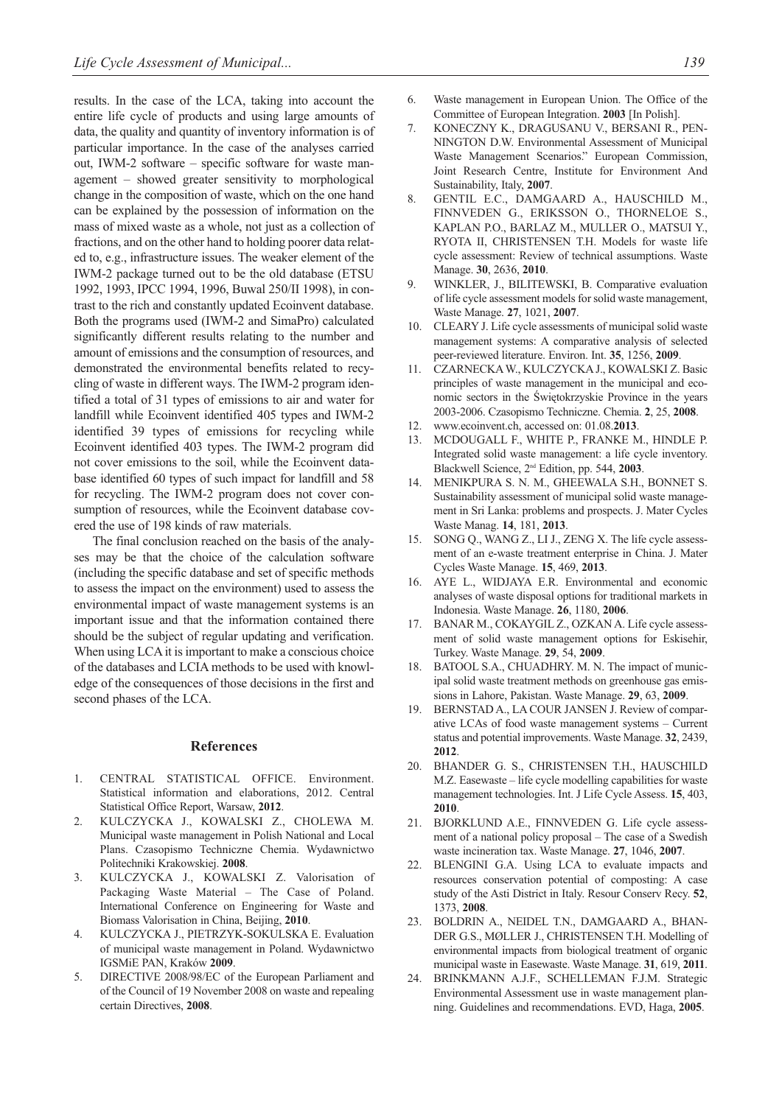results. In the case of the LCA, taking into account the entire life cycle of products and using large amounts of data, the quality and quantity of inventory information is of particular importance. In the case of the analyses carried out, IWM-2 software – specific software for waste management – showed greater sensitivity to morphological change in the composition of waste, which on the one hand can be explained by the possession of information on the mass of mixed waste as a whole, not just as a collection of fractions, and on the other hand to holding poorer data related to, e.g., infrastructure issues. The weaker element of the IWM-2 package turned out to be the old database (ETSU 1992, 1993, IPCC 1994, 1996, Buwal 250/II 1998), in contrast to the rich and constantly updated Ecoinvent database. Both the programs used (IWM-2 and SimaPro) calculated significantly different results relating to the number and amount of emissions and the consumption of resources, and demonstrated the environmental benefits related to recycling of waste in different ways. The IWM-2 program identified a total of 31 types of emissions to air and water for landfill while Ecoinvent identified 405 types and IWM-2 identified 39 types of emissions for recycling while Ecoinvent identified 403 types. The IWM-2 program did not cover emissions to the soil, while the Ecoinvent database identified 60 types of such impact for landfill and 58 for recycling. The IWM-2 program does not cover consumption of resources, while the Ecoinvent database covered the use of 198 kinds of raw materials.

The final conclusion reached on the basis of the analyses may be that the choice of the calculation software (including the specific database and set of specific methods to assess the impact on the environment) used to assess the environmental impact of waste management systems is an important issue and that the information contained there should be the subject of regular updating and verification. When using LCA it is important to make a conscious choice of the databases and LCIA methods to be used with knowledge of the consequences of those decisions in the first and second phases of the LCA.

### **References**

- 1. CENTRAL STATISTICAL OFFICE. Environment. Statistical information and elaborations, 2012. Central Statistical Office Report, Warsaw, **2012**.
- 2. KULCZYCKA J., KOWALSKI Z., CHOLEWA M. Municipal waste management in Polish National and Local Plans. Czasopismo Techniczne Chemia. Wydawnictwo Politechniki Krakowskiej. **2008**.
- 3. KULCZYCKA J., KOWALSKI Z. Valorisation of Packaging Waste Material – The Case of Poland. International Conference on Engineering for Waste and Biomass Valorisation in China, Beijing, **2010**.
- 4. KULCZYCKA J., PIETRZYK-SOKULSKA E. Evaluation of municipal waste management in Poland. Wydawnictwo IGSMiE PAN, Kraków **2009**.
- 5. DIRECTIVE 2008/98/EC of the European Parliament and of the Council of 19 November 2008 on waste and repealing certain Directives, **2008**.
- 6. Waste management in European Union. The Office of the Committee of European Integration. **2003** [In Polish].
- 7. KONECZNY K., DRAGUSANU V., BERSANI R., PEN-NINGTON D.W. Environmental Assessment of Municipal Waste Management Scenarios." European Commission, Joint Research Centre, Institute for Environment And Sustainability, Italy, **2007**.
- 8. GENTIL E.C., DAMGAARD A., HAUSCHILD M., FINNVEDEN G., ERIKSSON O., THORNELOE S., KAPLAN P.O., BARLAZ M., MULLER O., MATSUI Y., RYOTA II, CHRISTENSEN T.H. Models for waste life cycle assessment: Review of technical assumptions. Waste Manage. **30**, 2636, **2010**.
- 9. WINKLER, J., BILITEWSKI, B. Comparative evaluation of life cycle assessment models for solid waste management, Waste Manage. **27**, 1021, **2007**.
- 10. CLEARY J. Life cycle assessments of municipal solid waste management systems: A comparative analysis of selected peer-reviewed literature. Environ. Int. **35**, 1256, **2009**.
- 11. CZARNECKA W., KULCZYCKA J., KOWALSKI Z. Basic principles of waste management in the municipal and economic sectors in the Świętokrzyskie Province in the years 2003-2006. Czasopismo Techniczne. Chemia. **2**, 25, **2008**.
- 12. www.ecoinvent.ch, accessed on: 01.08.**2013**.
- 13. MCDOUGALL F., WHITE P., FRANKE M., HINDLE P. Integrated solid waste management: a life cycle inventory. Blackwell Science, 2nd Edition, pp. 544, **2003**.
- 14. MENIKPURA S. N. M., GHEEWALA S.H., BONNET S. Sustainability assessment of municipal solid waste management in Sri Lanka: problems and prospects. J. Mater Cycles Waste Manag. **14**, 181, **2013**.
- 15. SONG Q., WANG Z., LI J., ZENG X. The life cycle assessment of an e-waste treatment enterprise in China. J. Mater Cycles Waste Manage. **15**, 469, **2013**.
- 16. AYE L., WIDJAYA E.R. Environmental and economic analyses of waste disposal options for traditional markets in Indonesia. Waste Manage. **26**, 1180, **2006**.
- 17. BANAR M., COKAYGIL Z., OZKAN A. Life cycle assessment of solid waste management options for Eskisehir, Turkey. Waste Manage. **29**, 54, **2009**.
- 18. BATOOL S.A., CHUADHRY. M. N. The impact of municipal solid waste treatment methods on greenhouse gas emissions in Lahore, Pakistan. Waste Manage. **29**, 63, **2009**.
- 19. BERNSTAD A., LA COUR JANSEN J. Review of comparative LCAs of food waste management systems – Current status and potential improvements. Waste Manage. **32**, 2439, **2012**.
- 20. BHANDER G. S., CHRISTENSEN T.H., HAUSCHILD M.Z. Easewaste – life cycle modelling capabilities for waste management technologies. Int. J Life Cycle Assess. **15**, 403, **2010**.
- 21. BJORKLUND A.E., FINNVEDEN G. Life cycle assessment of a national policy proposal – The case of a Swedish waste incineration tax. Waste Manage. **27**, 1046, **2007**.
- BLENGINI G.A. Using LCA to evaluate impacts and resources conservation potential of composting: A case study of the Asti District in Italy. Resour Conserv Recy. **52**, 1373, **2008**.
- 23. BOLDRIN A., NEIDEL T.N., DAMGAARD A., BHAN-DER G.S., MØLLER J., CHRISTENSEN T.H. Modelling of environmental impacts from biological treatment of organic municipal waste in Easewaste. Waste Manage. **31**, 619, **2011**.
- 24. BRINKMANN A.J.F., SCHELLEMAN F.J.M. Strategic Environmental Assessment use in waste management planning. Guidelines and recommendations. EVD, Haga, **2005**.